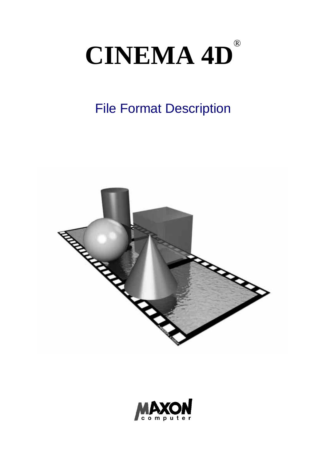# **CINEMA 4D**®

# File Format Description



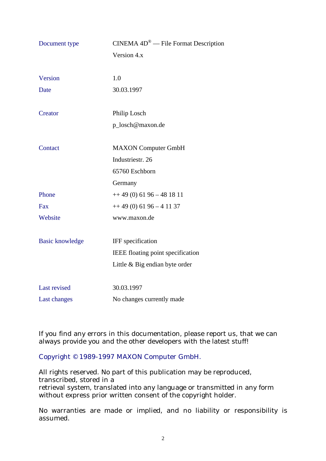| Document type          | $CINEMA$ $4D^@$ — File Format Description |
|------------------------|-------------------------------------------|
|                        | Version 4.x                               |
|                        |                                           |
| Version                | 1.0                                       |
| Date                   | 30.03.1997                                |
|                        |                                           |
| Creator                | Philip Losch                              |
|                        | p_losch@maxon.de                          |
|                        |                                           |
| Contact                | <b>MAXON</b> Computer GmbH                |
|                        | Industriestr. 26                          |
|                        | 65760 Eschborn                            |
|                        | Germany                                   |
| Phone                  | $++49(0)$ 61 96 - 48 18 11                |
| Fax                    | $++ 49(0) 61 96 - 4 11 37$                |
| Website                | www.maxon.de                              |
|                        |                                           |
| <b>Basic knowledge</b> | IFF specification                         |
|                        | IEEE floating point specification         |
|                        | Little & Big endian byte order            |
|                        |                                           |
| Last revised           | 30.03.1997                                |
| Last changes           | No changes currently made                 |

If you find any errors in this documentation, please report us, that we can always provide you and the other developers with the latest stuff!

Copyright © 1989-1997 MAXON Computer GmbH.

All rights reserved. No part of this publication may be reproduced, transcribed, stored in a retrieval system, translated into any language or transmitted in any form without express prior written consent of the copyright holder.

No warranties are made or implied, and no liability or responsibility is assumed.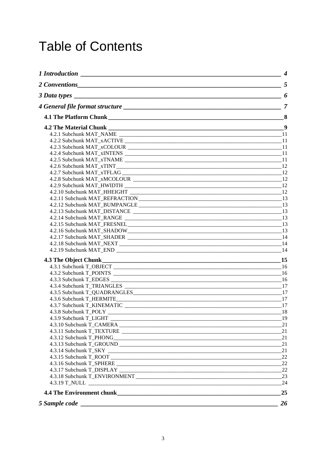# **Table of Contents**

|                                                                                                                                       | $\boldsymbol{4}$ |
|---------------------------------------------------------------------------------------------------------------------------------------|------------------|
| 2 Conventions 5 5                                                                                                                     |                  |
| $\overline{\phantom{a}}$ 6<br>3 Data types                                                                                            |                  |
|                                                                                                                                       |                  |
|                                                                                                                                       |                  |
|                                                                                                                                       |                  |
|                                                                                                                                       |                  |
|                                                                                                                                       |                  |
|                                                                                                                                       |                  |
|                                                                                                                                       |                  |
|                                                                                                                                       |                  |
|                                                                                                                                       |                  |
|                                                                                                                                       |                  |
|                                                                                                                                       |                  |
|                                                                                                                                       |                  |
|                                                                                                                                       |                  |
|                                                                                                                                       |                  |
|                                                                                                                                       |                  |
|                                                                                                                                       |                  |
|                                                                                                                                       |                  |
|                                                                                                                                       |                  |
|                                                                                                                                       |                  |
|                                                                                                                                       |                  |
|                                                                                                                                       | 14               |
|                                                                                                                                       |                  |
|                                                                                                                                       | 15               |
|                                                                                                                                       |                  |
|                                                                                                                                       |                  |
|                                                                                                                                       |                  |
|                                                                                                                                       |                  |
|                                                                                                                                       |                  |
|                                                                                                                                       |                  |
|                                                                                                                                       |                  |
|                                                                                                                                       | 18               |
|                                                                                                                                       | 19               |
|                                                                                                                                       | 21               |
|                                                                                                                                       | 21               |
|                                                                                                                                       | 21               |
|                                                                                                                                       | 21               |
|                                                                                                                                       | 21               |
|                                                                                                                                       | 22               |
|                                                                                                                                       | 22               |
|                                                                                                                                       | 22<br>23         |
|                                                                                                                                       | 24               |
|                                                                                                                                       |                  |
|                                                                                                                                       | 25               |
| 5 Sample code<br><u> 2000 - Jan James James James James James James James James James James James James James James James James J</u> | 26               |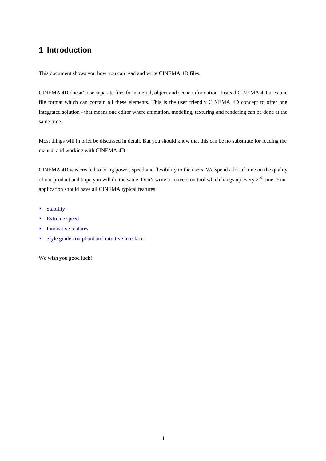# **1 Introduction**

This document shows you how you can read and write CINEMA 4D files.

CINEMA 4D doesn't use separate files for material, object and scene information. Instead CINEMA 4D uses one file format which can contain all these elements. This is the user friendly CINEMA 4D concept to offer one integrated solution - that means one editor where animation, modeling, texturing and rendering can be done at the same time.

Most things will in brief be discussed in detail. But you should know that this can be no substitute for reading the manual and working with CINEMA 4D.

CINEMA 4D was created to bring power, speed and flexibility to the users. We spend a lot of time on the quality of our product and hope you will do the same. Don't write a conversion tool which hangs up every 2<sup>nd</sup> time. Your application should have all CINEMA typical features:

- Stability
- Extreme speed
- Innovative features
- Style guide compliant and intuitive interface.

We wish you good luck!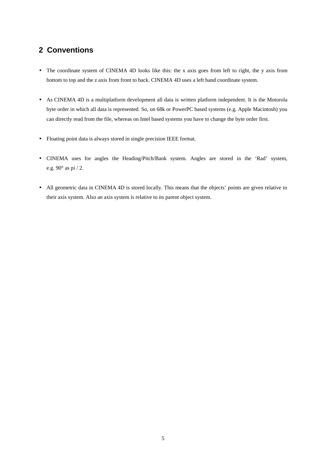# **2 Conventions**

- The coordinate system of CINEMA 4D looks like this: the x axis goes from left to right, the y axis from bottom to top and the z axis from front to back. CINEMA 4D uses a left hand coordinate system.
- As CINEMA 4D is a multiplatform development all data is written platform independent. It is the Motorola byte order in which all data is represented. So, on 68k or PowerPC based systems (e.g. Apple Macintosh) you can directly read from the file, whereas on Intel based systems you have to change the byte order first.
- Floating point data is always stored in single precision IEEE format.
- CINEMA uses for angles the Heading/Pitch/Bank system. Angles are stored in the 'Rad' system, e.g. 90° as pi / 2.
- All geometric data in CINEMA 4D is stored locally. This means that the objects' points are given relative to their axis system. Also an axis system is relative to its parent object system.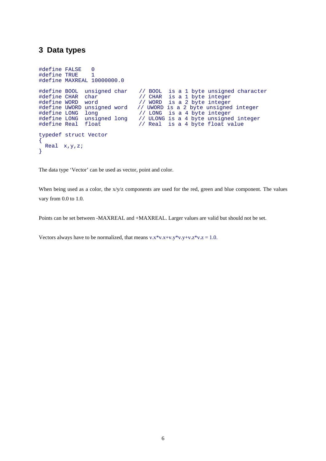#### **3 Data types**

```
#define FALSE 0
#define TRUE 1
#define MAXREAL 10000000.0
#define BOOL unsigned char // BOOL is a 1 byte unsigned character<br>#define CHAR char // CHAR is a 1 byte integer
#define CHAR char // CHAR is a 1 byte integer
#define WORD word // WORD is a 2 byte integer
#define UWORD unsigned word // UWORD is a 2 byte unsigned integer
#define LONG long // LONG is a 4 byte integer
#define LONG unsigned long // ULONG is a 4 byte unsigned integer
matrix Edge and Singlet Long 1, because is a 1 byte dindependent the define Real float
typedef struct Vector
{
 Real x,y,z;
}
```
The data type 'Vector' can be used as vector, point and color.

When being used as a color, the x/y/z components are used for the red, green and blue component. The values vary from 0.0 to 1.0.

Points can be set between -MAXREAL and +MAXREAL. Larger values are valid but should not be set.

Vectors always have to be normalized, that means  $v.x*v.x+v.y*v.y+v.z*v.z = 1.0$ .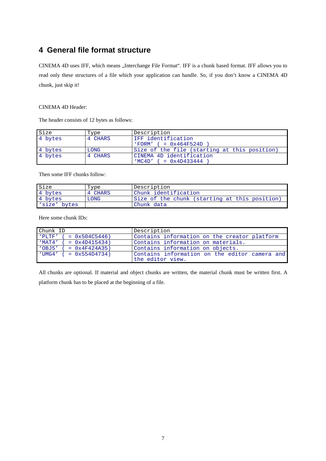## **4 General file format structure**

CINEMA 4D uses IFF, which means "Interchange File Format". IFF is a chunk based format. IFF allows you to read only these structures of a file which your application can handle. So, if you don't know a CINEMA 4D chunk, just skip it!

#### CINEMA 4D Header:

The header consists of 12 bytes as follows:

| Size    | Type    | Description                                  |  |
|---------|---------|----------------------------------------------|--|
| 4 bytes | 4 CHARS | IFF identification                           |  |
|         |         | $'FORM'$ ( = $0x464F524D$                    |  |
| 4 bytes | LONG    | Size of the file (starting at this position) |  |
| 4 bytes | 4 CHARS | CINEMA 4D identification                     |  |
|         |         | $MCAD'$ ( = 0x4D433444                       |  |

Then some IFF chunks follow:

| Size         | Type    | Description                                   |
|--------------|---------|-----------------------------------------------|
| 4 bytes      | 4 CHARS | Chunk identification                          |
| 4 bytes      | LONG    | Size of the chunk (starting at this position) |
| 'size' bytes |         | Chunk data                                    |

Here some chunk IDs:

| Chunk ID                       | Description                                   |  |  |
|--------------------------------|-----------------------------------------------|--|--|
| 'PLTF'<br>$= 0x504C5446$       | Contains information on the creator platform  |  |  |
| 'MAT4'<br>$= 0x4D415434$       | Contains information on materials.            |  |  |
| 'OBJ5'<br>$= 0x4F424A35$       | Contains information on objects.              |  |  |
| $\sqrt{UMG4'}$ ( = 0x554D4734) | Contains information on the editor camera and |  |  |
|                                | the editor view.                              |  |  |

All chunks are optional. If material and object chunks are written, the material chunk must be written first. A platform chunk has to be placed at the beginning of a file.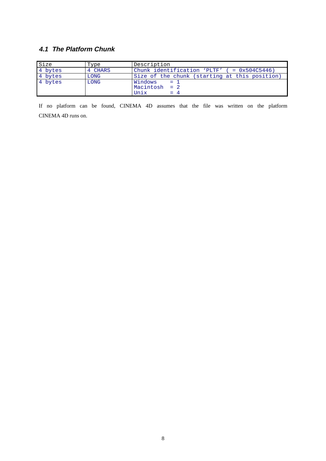#### **4.1 The Platform Chunk**

| Size    | Type    | Description                                          |
|---------|---------|------------------------------------------------------|
| 4 bytes | 4 CHARS | Chunk identification 'PLTF' $( = 0x504C5446)$        |
| 4 bytes | LONG    | Size of the chunk (starting at this position)        |
| 4 bytes | LONG    | Windows<br>$=$ 1<br>Macintosh $= 2$<br>Unix<br>$= 4$ |

If no platform can be found, CINEMA 4D assumes that the file was written on the platform CINEMA 4D runs on.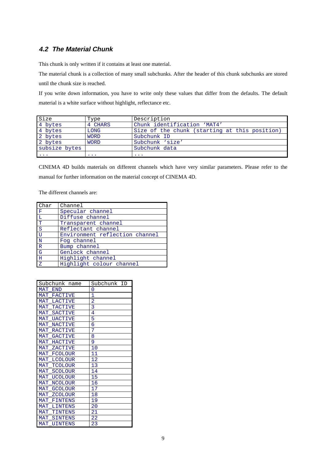#### **4.2 The Material Chunk**

This chunk is only written if it contains at least one material.

The material chunk is a collection of many small subchunks. After the header of this chunk subchunks are stored until the chunk size is reached.

If you write down information, you have to write only these values that differ from the defaults. The default material is a white surface without highlight, reflectance etc.

| Size                 | Type        | Description                                   |  |
|----------------------|-------------|-----------------------------------------------|--|
| 4 bytes              | 4 CHARS     | Chunk identification 'MAT4'                   |  |
| 4 bytes              | LONG        | Size of the chunk (starting at this position) |  |
| 2 bytes              | <b>WORD</b> | Subchunk ID                                   |  |
| 2 bytes              | <b>WORD</b> | Subchunk 'size'                               |  |
| subsize bytes        |             | Subchunk data                                 |  |
| $\sim$ $\sim$ $\sim$ | $\cdots$    | $\cdots$                                      |  |

CINEMA 4D builds materials on different channels which have very similar parameters. Please refer to the manual for further information on the material concept of CINEMA 4D.

The different channels are:

| Char           | Channel                        |
|----------------|--------------------------------|
| $\mathbf{F}$   | Specular channel               |
| L              | Diffuse channel                |
| T              | Transparent channel            |
| <sub>S</sub>   | Reflectant channel             |
| U              | Environment reflection channel |
| $\mathbf N$    | Fog channel                    |
| $\overline{R}$ | Bump channel                   |
| G              | Genlock channel                |
| H              | Highlight channel              |
| Z              | Highlight colour channel       |

| Subchunk name                | Subchunk ID    |
|------------------------------|----------------|
| MAT<br><b>END</b>            | N              |
| MAT<br>FACTIVE               | 1              |
| MAT LACTIVE                  | $\overline{2}$ |
| MAT<br>TACTIVE               | 3              |
| MAT SACTIVE                  | 4              |
| MAT<br>UACTIVE               | 5              |
| MAT<br><b>NACTIVE</b>        | 6              |
| MAT RACTIVE                  | 7              |
| MAT GACTIVE                  | 8              |
| MAT HACTIVE                  | 9              |
| MAT ZACTIVE                  | 10             |
| MAT FCOLOUR                  | 11             |
| MAT<br>LCOLOUR               | 12             |
| MAT TCOLOUR                  | 13             |
| MAT<br>SCOLOUR               | 14             |
| MAT<br><b>UCOLOUR</b>        | 15             |
| <b>MAT</b><br>NCOLOUR        | 16             |
| MAT<br>GCOLOUR               | 17             |
| MAT<br>ZCOLOUR               | 18             |
| MAT<br>FINTENS               | 19             |
| <b>MAT</b><br>LINTENS        | 20             |
| MAT<br>TINTENS               | 21             |
| <b>MAT</b><br><b>SINTENS</b> | 22             |
| MAT<br><b>UINTENS</b>        | 23             |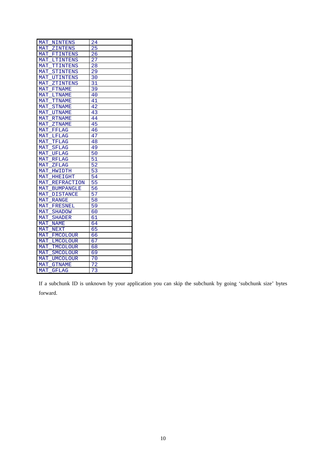| MAT<br>NINTENS                  | 24              |
|---------------------------------|-----------------|
| MAT<br>ZINTENS                  | 25              |
| MAT<br>FTINTENS                 | 26              |
| LTINTENS<br><b>MAT</b>          | 27              |
| <b>MAT</b><br>TTINTENS          | $\overline{2}8$ |
| <b>STINTENS</b><br>MAT          | 29              |
| <b>MAT UTINTENS</b>             | 30              |
| <b>MAT</b><br>ZTINTENS          | 31              |
| MAT<br><b>FTNAME</b>            | 39              |
| <b>MAT</b><br><b>LTNAME</b>     | 40              |
| <b>MAT</b><br><b>TTNAME</b>     | 41              |
| <b>STNAME</b><br><b>MAT</b>     | 42              |
| <b>MAT UTNAME</b>               | 43              |
| MAT RTNAME                      | 44              |
| <b>MAT</b><br>$Z$ TNAME         | 45              |
| MAT<br>FFLAG                    | 46              |
| MAT<br><b>LFLAG</b>             | 47              |
| <b>MAT</b><br><b>TFLAG</b>      | 48              |
| <b>MAT</b><br><b>SFLAG</b>      | 49              |
| <b>MAT UFLAG</b>                | 50              |
| <b>MAT RFLAG</b>                | 51              |
| <b>MAT</b><br>_ZFLAG            | 52              |
| <b>MAT</b><br>HWIDTH            | 53              |
| <b>MAT</b><br><b>HHEIGHT</b>    | 54              |
| <b>MAT</b><br><b>REFRACTION</b> | 55              |
| MAT<br><b>BUMPANGLE</b>         | 56              |
| MAT<br><b>DISTANCE</b>          | 57              |
| <b>MAT RANGE</b>                | 58              |
| MAT_FRESNEL                     | 59              |
| MAT.<br>SHADOW                  | 60              |
| MAT<br><b>SHADER</b>            | 61              |
| <b>MAT</b><br><b>NAME</b>       | 64              |
| <b>MAT</b><br>NEXT              | 65              |
| MAT<br><b>FMCOLOUR</b>          | 66              |
| LMCOLOUR<br>MAT                 | 67              |
| MAT<br>TMCOLOUR                 | 68              |
| MAT<br>_SMCOLOUR                | 69              |
| <b>MAT</b><br><b>UMCOLOUR</b>   | 70              |
| <b>MAT</b><br><b>GTNAME</b>     | $\overline{72}$ |
| MAT<br><b>GFLAG</b>             | $\overline{73}$ |

If a subchunk ID is unknown by your application you can skip the subchunk by going 'subchunk size' bytes forward.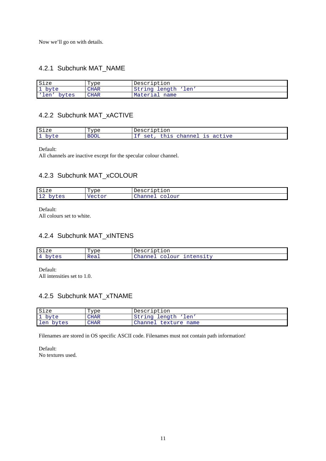Now we'll go on with details.

#### 4.2.1 Subchunk MAT\_NAME

| Size         | Type        | Description              |
|--------------|-------------|--------------------------|
| byte         | <b>CHAR</b> | String<br>'len<br>length |
| len<br>bytes | <b>CHAR</b> | Material<br>name         |

#### 4.2.2 Subchunk MAT\_xACTIVE

| Size         | Type        | uption<br>Descr'                                             |
|--------------|-------------|--------------------------------------------------------------|
| $n+1$<br>ے ب | <b>BOOL</b> | active<br>channel<br>7S<br>$Q \bigtriangleup 1$<br>---<br>-- |

Default:

All channels are inactive except for the specular colour channel.

#### 4.2.3 Subchunk MAT\_xCOLOUR

| Size                                   | Type            | Description                            |
|----------------------------------------|-----------------|----------------------------------------|
| $\bigcap$<br>hvtes<br>ᆠᅀ<br>しここ<br>. م | Vector<br>こしししょ | $\cap$<br>LOUY<br>nanne.<br>---------- |

Default:

All colours set to white.

#### 4.2.4 Subchunk MAT\_xINTENS

| Size                  | "vpe<br>- | Description                                                           |
|-----------------------|-----------|-----------------------------------------------------------------------|
| $\Lambda$<br>ساب<br>ັ | Real      | $    -$<br>$\cap$<br>+ - -<br>∍nne<br>TIILEIISTL'<br>⊂u⊥<br>--------- |

Default: All intensities set to 1.0.

#### 4.2.5 Subchunk MAT\_xTNAME

| Size      | Type | Description              |
|-----------|------|--------------------------|
| 1 byte    | CHAR | String<br>'len<br>length |
| len bytes | CHAR | Channel<br>texture name  |

Filenames are stored in OS specific ASCII code. Filenames must not contain path information!

Default: No textures used.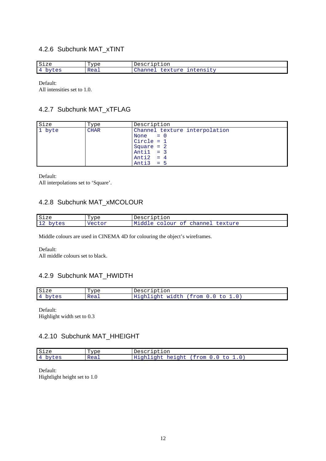#### 4.2.6 Subchunk MAT\_xTINT

| Size                              | "vpe | uption<br>. – UCUC –                                      |
|-----------------------------------|------|-----------------------------------------------------------|
| $\Lambda$<br>$\sim$ $\sim$<br>LES | Real | 11200<br>$+ - -$<br>$\sim$ n<br>エエエレビエエレエム<br>ີ<br>$\sim$ |

Default: All intensities set to 1.0.

#### 4.2.7 Subchunk MAT\_xTFLAG

| Size   | Type        | Description                                                                                                               |
|--------|-------------|---------------------------------------------------------------------------------------------------------------------------|
| 1 byte | <b>CHAR</b> | Channel texture interpolation<br>None $= 0$<br>Circle = $1$<br>Square $= 2$<br>Antil $= 3$<br>Anti2 = $4$<br>Anti $3 = 5$ |

Default:

All interpolations set to 'Square'.

#### 4.2.8 Subchunk MAT\_xMCOLOUR

| Size                           | Type            | Description                      |
|--------------------------------|-----------------|----------------------------------|
| $\overline{10}$<br>bytes<br>∸∸ | Vector<br>ここしいエ | Middle colour of channel texture |

Middle colours are used in CINEMA 4D for colouring the object's wireframes.

Default: All middle colours set to black.

#### 4.2.9 Subchunk MAT\_HWIDTH

| Size         | Type - | Description               |
|--------------|--------|---------------------------|
| 4 bytes<br>ັ | Real   | Highlight width (from 0.0 |

Default: Highlight width set to 0.3

#### 4.2.10 Subchunk MAT\_HHEIGHT

| Size              | "vpe | Description                               |
|-------------------|------|-------------------------------------------|
| 4<br>bytes<br>ر ب | Real | ---<br>Highlight<br>height<br>(trom<br>to |

Default: Hightlight height set to 1.0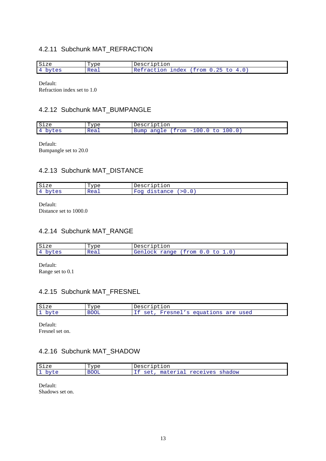#### 4.2.11 Subchunk MAT\_REFRACTION

| Size                   | "vpe | Description                                |
|------------------------|------|--------------------------------------------|
| $\overline{4}$<br>rtes | Real | ≃tion<br>index<br>trom)<br>- (151)<br>ر ہے |

Default: Refraction index set to 1.0

#### 4.2.12 Subchunk MAT\_BUMPANGLE

| Size                          | Type –             | Description                                                                    |
|-------------------------------|--------------------|--------------------------------------------------------------------------------|
| $\overline{4}$<br>ししい<br>ر صد | $R_{PA}$<br>$\sim$ | 100.<br>rom <sup>-</sup><br>ang<br>$\sqrt{2}$<br>Bumc<br>$\sim$<br>anure<br>-- |

Default: Bumpangle set to 20.0

#### 4.2.13 Subchunk MAT\_DISTANCE

| Size  | "vpe | Description                             |
|-------|------|-----------------------------------------|
| bytes | Real | stange<br>⊮∩α<br>> 0.0<br>urprance<br>- |

Default:

Distance set to 1000.0

#### 4.2.14 Subchunk MAT\_RANGE

| Size                         | "vpe | Description                                                         |
|------------------------------|------|---------------------------------------------------------------------|
| bytes<br>$\Delta$<br>л.<br>~ | Real | $14$ $\rho$<br>range<br>trom<br>nak<br>しし<br>◡.◡<br>$\sim$ $\sigma$ |

Default: Range set to 0.1

#### 4.2.15 Subchunk MAT\_FRESNEL

| Size                                                       | Type –      | .ptıon                                                                           |
|------------------------------------------------------------|-------------|----------------------------------------------------------------------------------|
| $\overline{\phantom{a}}$<br>nvt e<br>ے ب<br><b>__</b><br>ັ | <b>BOOL</b> | Fresnei<br>tions<br>used<br>are<br>$\sim$ $\sim$ $+$<br>$P$ CILO $\alpha$<br>ぃこし |

Default: Fresnel set on.

#### 4.2.16 Subchunk MAT\_SHADOW

| Size                                     | Type        | Description                           |
|------------------------------------------|-------------|---------------------------------------|
| $\overline{\phantom{a}}$<br>byte<br>י טכ | <b>BOOL</b> | receives<br>material<br>shadow<br>set |

Default: Shadows set on.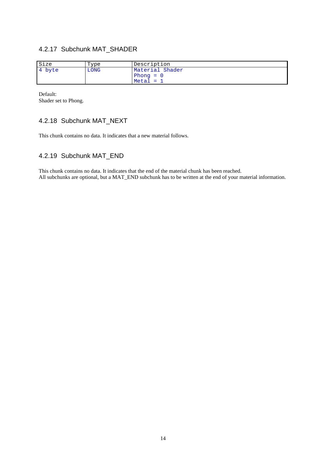#### 4.2.17 Subchunk MAT\_SHADER

| Size   | Type | Description                |
|--------|------|----------------------------|
| 4 byte | LONG | Material Shader<br>Phong = |
|        |      | $Meta1 =$                  |

Default: Shader set to Phong.

#### 4.2.18 Subchunk MAT\_NEXT

This chunk contains no data. It indicates that a new material follows.

#### 4.2.19 Subchunk MAT\_END

This chunk contains no data. It indicates that the end of the material chunk has been reached. All subchunks are optional, but a MAT\_END subchunk has to be written at the end of your material information.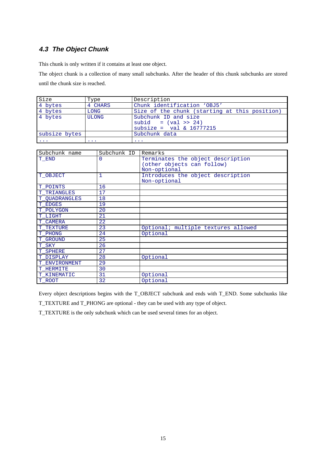#### **4.3 The Object Chunk**

This chunk is only written if it contains at least one object.

The object chunk is a collection of many small subchunks. After the header of this chunk subchunks are stored until the chunk size is reached.

| Size                 | Type         | Description                                                                                     |
|----------------------|--------------|-------------------------------------------------------------------------------------------------|
| 4 bytes              | 4 CHARS      | Chunk identification 'OBJ5'                                                                     |
| 4 bytes              | LONG         | Size of the chunk (starting at this position)                                                   |
| 4 bytes              | <b>ULONG</b> | Subchunk ID and size<br>subid = $\left( \text{val} \right)$ > 24)<br>subsize = $val & 16777215$ |
| subsize bytes        |              | Subchunk data                                                                                   |
| $\sim$ $\sim$ $\sim$ | $\cdots$     | $\cdots$                                                                                        |

| Subchunk name  | Subchunk ID | Remarks                                                         |
|----------------|-------------|-----------------------------------------------------------------|
| T_END          | 0           | Terminates the object description<br>(other objects can follow) |
|                |             | Non-optional                                                    |
| T OBJECT       | 1           | Introduces the object description<br>Non-optional               |
| T POINTS       | 16          |                                                                 |
| T TRIANGLES    | 17          |                                                                 |
| T OUADRANGLES  | 18          |                                                                 |
| <b>T_EDGES</b> | 19          |                                                                 |
| T POLYGON      | 20          |                                                                 |
| T LIGHT        | 21          |                                                                 |
| T CAMERA       | 22          |                                                                 |
| T TEXTURE      | 23          | Optional; multiple textures allowed                             |
| T PHONG        | 24          | Optional                                                        |
| T GROUND       | 25          |                                                                 |
| T SKY          | 26          |                                                                 |
| T_SPHERE       | 27          |                                                                 |
| T DISPLAY      | 28          | Optional                                                        |
| T ENVIRONMENT  | 29          |                                                                 |
| T HERMITE      | 30          |                                                                 |
| T KINEMATIC    | 31          | Optional                                                        |
| T ROOT         | 32          | Optional                                                        |

Every object descriptions begins with the T\_OBJECT subchunk and ends with T\_END. Some subchunks like

T\_TEXTURE and T\_PHONG are optional - they can be used with any type of object.

T\_TEXTURE is the only subchunk which can be used several times for an object.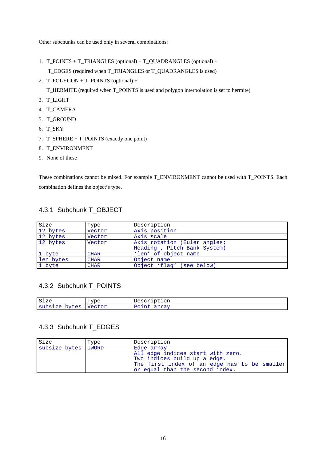Other subchunks can be used only in several combinations:

- 1. T\_POINTS + T\_TRIANGLES (optional) + T\_QUADRANGLES (optional) + T\_EDGES (required when T\_TRIANGLES or T\_QUADRANGLES is used)
- 2. T\_POLYGON + T\_POINTS (optional) +

T\_HERMITE (required when T\_POINTS is used and polygon interpolation is set to hermite)

- 3. T\_LIGHT
- 4. T\_CAMERA
- 5. T\_GROUND
- 6. T\_SKY
- 7. T\_SPHERE + T\_POINTS (exactly one point)
- 8. T\_ENVIRONMENT
- 9. None of these

These combinations cannot be mixed. For example T\_ENVIRONMENT cannot be used with T\_POINTS. Each combination defines the object's type.

#### 4.3.1 Subchunk T\_OBJECT

| Size      | Type        | Description                  |
|-----------|-------------|------------------------------|
| 12 bytes  | Vector      | Axis position                |
| 12 bytes  | Vector      | Axis scale                   |
| 12 bytes  | Vector      | Axis rotation (Euler angles; |
|           |             | Heading-, Pitch-Bank System) |
| 1 byte    | <b>CHAR</b> | 'len' of object name         |
| len bytes | <b>CHAR</b> | Object name                  |
| 1 byte    | <b>CHAR</b> | Object 'flag' (see below)    |

#### 4.3.2 Subchunk T\_POINTS

| Size                                                | ື້™ດ≏<br>$\sim$           | $\sim$ $\sim$<br>$\sim$<br>$\overline{\phantom{0}}$<br>$10+011$<br>∸∼<br><u> Julian Jan Julian Julian Julian Julian Julian Julian Julian Julian Julian Julian Julian Julian Julian Ju</u> |
|-----------------------------------------------------|---------------------------|-------------------------------------------------------------------------------------------------------------------------------------------------------------------------------------------|
| C1<br>$\sim$ $\sim$<br>$\sim$ $\sim$<br>ے ہے .<br>ิ | $\sim$ $\sim$<br>$     -$ | -----<br>ᅆᆠᄮ                                                                                                                                                                              |

#### 4.3.3 Subchunk T\_EDGES

| Size                  | Type | Description                                                                                                                                                        |
|-----------------------|------|--------------------------------------------------------------------------------------------------------------------------------------------------------------------|
| subsize bytes   UWORD |      | Edge array<br>All edge indices start with zero.<br>Two indices build up a edge.<br>The first index of an edge has to be smaller<br>or equal than the second index. |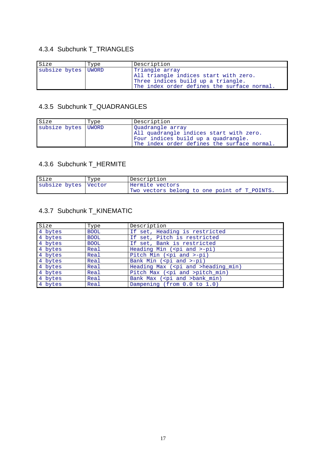# 4.3.4 Subchunk T\_TRIANGLES

| Size                | Type | Description                                                                                                                                  |
|---------------------|------|----------------------------------------------------------------------------------------------------------------------------------------------|
| subsize bytes UWORD |      | Triangle array<br>All triangle indices start with zero.<br>Three indices build up a triangle.<br>The index order defines the surface normal. |

#### 4.3.5 Subchunk T\_QUADRANGLES

| Size                  | Type | Description                                                                                                                                       |
|-----------------------|------|---------------------------------------------------------------------------------------------------------------------------------------------------|
| subsize bytes   UWORD |      | Ouadrangle array<br>All quadrangle indices start with zero.<br>Four indices build up a quadrangle.<br>The index order defines the surface normal. |

#### 4.3.6 Subchunk T\_HERMITE

| Size                 | Type | Description                                  |
|----------------------|------|----------------------------------------------|
| subsize bytes Vector |      | Hermite vectors                              |
|                      |      | Two vectors belong to one point of T_POINTS. |

# 4.3.7 Subchunk T\_KINEMATIC

| Size    | Type        | Description                                |
|---------|-------------|--------------------------------------------|
| 4 bytes | <b>BOOL</b> | If set, Heading is restricted              |
| 4 bytes | <b>BOOL</b> | If set, Pitch is restricted                |
| 4 bytes | <b>BOOL</b> | If set, Bank is restricted                 |
| 4 bytes | Real        | Heading Min ( <pi and="">-pi)</pi>         |
| 4 bytes | Real        | Pitch Min ( <pi and="">-pi)</pi>           |
| 4 bytes | Real        | Bank Min ( <pi and="">-pi)</pi>            |
| 4 bytes | Real        | Heading Max ( <pi and="">heading_min)</pi> |
| 4 bytes | Real        | Pitch Max ( <pi and="">pitch_min)</pi>     |
| 4 bytes | Real        | Bank Max ( <pi and="">bank_min)</pi>       |
| 4 bytes | Real        | Dampening (from 0.0 to 1.0)                |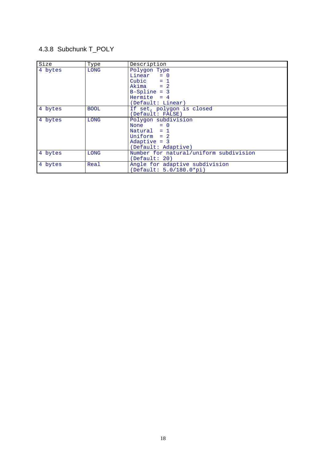# 4.3.8 Subchunk T\_POLY

| Size    | Type        | Description                            |
|---------|-------------|----------------------------------------|
| 4 bytes | LONG        | Polygon Type                           |
|         |             | Linear $= 0$                           |
|         |             | Cubic $= 1$                            |
|         |             | $Akima = 2$                            |
|         |             | $B-Spline = 3$                         |
|         |             | Hermite $= 4$                          |
|         |             | (Default: Linear)                      |
| 4 bytes | <b>BOOL</b> | If set, polygon is closed              |
|         |             | (Default: FALSE)                       |
| 4 bytes | <b>LONG</b> | Polygon subdivision                    |
|         |             | None $= 0$                             |
|         |             | Natural $= 1$                          |
|         |             | Uniform $= 2$                          |
|         |             | Adaptive $= 3$                         |
|         |             | (Default: Adaptive)                    |
| 4 bytes | <b>LONG</b> | Number for natural/uniform subdivision |
|         |             | (Default: 20)                          |
| 4 bytes | Real        | Angle for adaptive subdivision         |
|         |             | (Default: 5.0/180.0*pi)                |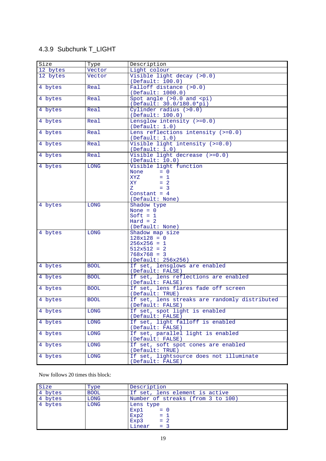# 4.3.9 Subchunk T\_LIGHT

| size     | Type        | Description                                                                                                                     |
|----------|-------------|---------------------------------------------------------------------------------------------------------------------------------|
| 12 bytes | Vector      | Light colour                                                                                                                    |
| 12 bytes | Vector      | Visible light decay (>0.0)<br>(Default: 100.0)                                                                                  |
| 4 bytes  | Real        | Falloff distance (>0.0)<br>(Default: 1000.0)                                                                                    |
| 4 bytes  | Real        | Spot angle $(>0.0$ and $< pi$ )<br>(Default: 30.0/180.0*pi)                                                                     |
| 4 bytes  | Real        | Cylinder radius $(>0.0)$<br>(Default: 100.0)                                                                                    |
| 4 bytes  | Real        | Lensglow intensity $(>=0.0)$<br>(Default: 1.0)                                                                                  |
| 4 bytes  | Real        | Lens reflections intensity $(>=0.0)$<br>(Default: 1.0)                                                                          |
| 4 bytes  | Real        | Visible light intensity $(>=0.0)$<br>(Default: 1.0)                                                                             |
| 4 bytes  | Real        | Visible light decrease (>=0.0)<br>(Default: 10.0)                                                                               |
| 4 bytes  | <b>LONG</b> | Visible light function<br>$= 0$<br>None<br>XYZ<br>$= 1$<br>XY X<br>$= 2$<br>$= 3$<br>$Z =$<br>Constant = $4$<br>(Default: None) |
| 4 bytes  | <b>LONG</b> | Shadow type<br>None $= 0$<br>Soft = $1$<br>$Hard = 2$<br>(Default: None)                                                        |
| 4 bytes  | <b>LONG</b> | Shadow map size<br>$128x128 = 0$<br>$256x256 = 1$<br>$512x512 = 2$<br>$768x768 = 3$<br>(Default: 256x256)                       |
| 4 bytes  | <b>BOOL</b> | If set, lensglows are enabled<br>(Default: FALSE)                                                                               |
| 4 bytes  | <b>BOOL</b> | If set, lens reflections are enabled<br>(Default: FALSE)                                                                        |
| 4 bytes  | <b>BOOL</b> | If set, lens flares fade off screen<br>(Default: TRUE)                                                                          |
| 4 bytes  | <b>BOOL</b> | If set, lens streaks are randomly distributed<br>(Default: FALSE)                                                               |
| 4 bytes  | <b>LONG</b> | If set, spot light is enabled<br>(Default: FALSE)                                                                               |
| 4 bytes  | LONG        | If set, light falloff is enabled<br>(Default: FALSE)                                                                            |
| 4 bytes  | LONG        | If set, parallel light is enabled<br>(Default: FALSE)                                                                           |
| 4 bytes  | LONG        | If set, soft spot cones are enabled<br>(Default: TRUE)                                                                          |
| 4 bytes  | <b>LONG</b> | If set, lightsource does not illuminate<br>(Default: FALSE)                                                                     |

Now follows 20 times this block:

| Size    | Type        | Description                                                               |
|---------|-------------|---------------------------------------------------------------------------|
| 4 bytes | <b>BOOL</b> | If set, lens element is active                                            |
| 4 bytes | LONG        | Number of streaks (from 3 to 100)                                         |
| 4 bytes | LONG        | Lens type<br>$Exp1 = 0$<br>$Exp2 = 1$<br>$= 2$<br>Exp3<br>$= 3$<br>Linear |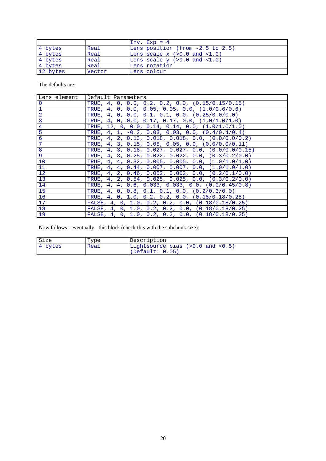|          |        | $Inv. Exp = 4$                      |
|----------|--------|-------------------------------------|
| 4 bytes  | Real   | Lens position (from -2.5 to 2.5)    |
| 4 bytes  | Real   | Lens scale $x$ $(>0.0$ and $<1.0$ ) |
| 4 bytes  | Real   | Lens scale $y$ $(>0.0$ and $<1.0$ ) |
| 4 bytes  | Real   | Lens rotation                       |
| 12 bytes | Vector | Lens colour                         |

The defaults are:

| Lens element    | Default Parameters                                                      |
|-----------------|-------------------------------------------------------------------------|
| $\overline{0}$  | TRUE, 4, 0, 0.0, 0.2, 0.2, 0.0, $(0.15/0.15/0.15)$                      |
| $\mathbf{1}$    | TRUE, $4$ , $0$ , $0.0$ , $0.05$ , $0.05$ , $0.0$ , $(1.0/0.6/0.6)$     |
| $\overline{a}$  | TRUE, $4$ , $0$ , $0.0$ , $0.1$ , $0.1$ , $0.0$ , $(0.25/0.0/0.0)$      |
| $\overline{3}$  | TRUE, 4, 0, 0.0, 0.17, 0.17, 0.0, $(1.0/1.0/1.0)$                       |
| $\overline{4}$  | TRUE, 12, 0, 0.0, 0.14, 0.14, 0.0, $(1.0/1.0/1.0)$                      |
| $\overline{5}$  | TRUE, $4$ , $1$ , $-0.2$ , $0.03$ , $0.03$ , $0.0$ , $(0.4/0.4/0.4)$    |
| 6               | TRUE, $4$ , $2$ , $0.13$ , $0.018$ , $0.018$ , $0.0$ , $(0.0/0.0/0.2)$  |
| $7\phantom{.0}$ | TRUE, 4, 3, 0.15, 0.05, 0.05, 0.0, $(0.0/0.0/0.11)$                     |
| 8               | TRUE, $4$ , $3$ , $0.18$ , $0.027$ , $0.027$ , $0.0$ , $(0.0/0.0/0.15)$ |
| 9               | TRUE, 4, 3, 0.25, 0.022, 0.022, 0.0, $(0.3/0.2/0.0)$                    |
| 10              | TRUE, 4, 4, 0.32, 0.005, 0.005, 0.0, $(1.0/1.0/1.0)$                    |
| 11              | TRUE, 4, 4, 0.44, 0.007, 0.007, 0.0, $(1.0/1.0/1.0)$                    |
| 12              | TRUE, 4, 2, 0.46, 0.052, 0.052, 0.0, $(0.2/0.1/0.0)$                    |
| 13              | TRUE, $4$ , $2$ , $0.54$ , $0.025$ , $0.025$ , $0.0$ , $(0.3/0.2/0.0)$  |
| 14              | TRUE, 4, 4, 0.6, 0.033, 0.033, 0.0, $(0.0/0.45/0.8)$                    |
| 15              | TRUE, $4$ , $0$ , $0.8$ , $0.1$ , $0.1$ , $0.0$ , $(0.2/0.3/0.0)$       |
| 16              | TRUE, 4, 0, 1.0, 0.2, 0.2, 0.0, $(0.18/0.18/0.25)$                      |
| 17              | FALSE, 4, 0, 1.0, 0.2, 0.2, 0.0, (0.18/0.18/0.25)                       |
| 18              | FALSE, 4, 0, 1.0, 0.2, 0.2, 0.0, $(0.18/0.18/0.25)$                     |
| 19              | FALSE, 4, 0, 1.0, 0.2, 0.2, 0.0, $(0.18/0.18/0.25)$                     |

Now follows - eventually - this block (check this with the subchunk size):

| Size    | Type | Description                                               |
|---------|------|-----------------------------------------------------------|
| 4 bytes | Real | Lightsource bias $(>0.0$ and $< 0.5$ )<br>(Default: 0.05) |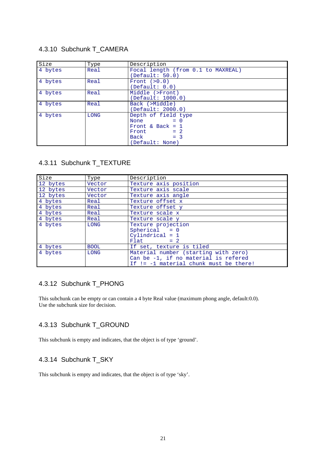#### 4.3.10 Subchunk T\_CAMERA

| Size    | Type | Description                                                                                                                                                                                                           |
|---------|------|-----------------------------------------------------------------------------------------------------------------------------------------------------------------------------------------------------------------------|
| 4 bytes | Real | Focal length (from 0.1 to MAXREAL)<br>(Default: 50.0)                                                                                                                                                                 |
| 4 bytes | Real | Front $(>0.0)$<br>(Default: 0.0)                                                                                                                                                                                      |
| 4 bytes | Real | Middle (>Front)<br>(Default: 1000.0)                                                                                                                                                                                  |
| 4 bytes | Real | Back (>Middle)<br>(Default: 2000.0)                                                                                                                                                                                   |
| 4 bytes | LONG | Depth of field type<br>$= 0$<br>None the contract of the set of the set of the set of the set of the set of the set of the set of the set of th<br>Front & Back = $1$<br>$Front = 2$<br>$Back = 3$<br>(Default: None) |

#### 4.3.11 Subchunk T\_TEXTURE

| Size     | Type        | Description                                                                                                              |
|----------|-------------|--------------------------------------------------------------------------------------------------------------------------|
| 12 bytes | Vector      | Texture axis position                                                                                                    |
| 12 bytes | Vector      | Texture axis scale                                                                                                       |
| 12 bytes | Vector      | Texture axis angle                                                                                                       |
| 4 bytes  | Real        | Texture offset x                                                                                                         |
| 4 bytes  | Real        | Texture offset y                                                                                                         |
| 4 bytes  | Real        | Texture scale x                                                                                                          |
| 4 bytes  | Real        | Texture scale y                                                                                                          |
| 4 bytes  | LONG        | Texture projection<br>$Spherical = 0$<br>$Cylindrical = 1$<br>$Flat = 2$                                                 |
| 4 bytes  | <b>BOOL</b> | If set, texture is tiled                                                                                                 |
| 4 bytes  | <b>LONG</b> | Material number (starting with zero)<br>Can be -1, if no material is refered<br>If $!= -1$ material chunk must be there! |

#### 4.3.12 Subchunk T\_PHONG

This subchunk can be empty or can contain a 4 byte Real value (maximum phong angle, default:0.0). Use the subchunk size for decision.

#### 4.3.13 Subchunk T\_GROUND

This subchunk is empty and indicates, that the object is of type 'ground'.

#### 4.3.14 Subchunk T\_SKY

This subchunk is empty and indicates, that the object is of type 'sky'.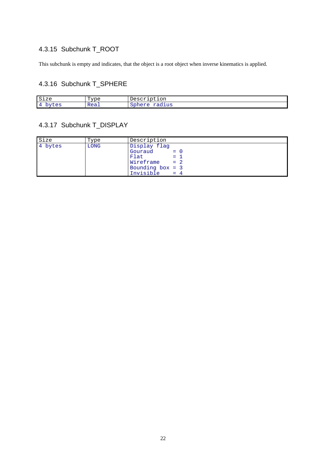# 4.3.15 Subchunk T\_ROOT

This subchunk is empty and indicates, that the object is a root object when inverse kinematics is applied.

# 4.3.16 Subchunk T\_SPHERE

| <b>C</b><br>Sıze                                  | —<br>"vpe<br>- | tıon<br>Descr<br>∸∼                             |
|---------------------------------------------------|----------------|-------------------------------------------------|
| $\overline{ }$<br>----<br>$\triangle$<br>ししい<br>ັ | Real           | $\sim$<br><br>50 F<br>aurup<br>.<br>------<br>~ |

# 4.3.17 Subchunk T\_DISPLAY

| Size    | Type | Description                  |
|---------|------|------------------------------|
| 4 bytes | LONG | Display flag                 |
|         |      | $Gouraud = 0$                |
|         |      | $\equiv$ $\pm$ $\pm$<br>Flat |
|         |      | $Wireframe = 2$              |
|         |      | Bounding box = 3             |
|         |      | Invisible<br>$= 4$           |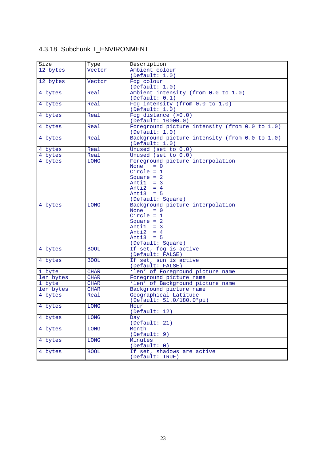# 4.3.18 Subchunk T\_ENVIRONMENT

| Size      | Type        | Description                                                      |
|-----------|-------------|------------------------------------------------------------------|
| 12 bytes  | Vector      | Ambient colour                                                   |
|           |             | (Default: 1.0)                                                   |
| 12 bytes  | Vector      | Fog colour                                                       |
|           |             | (Default: 1.0)                                                   |
| 4 bytes   | Real        | Ambient intensity (from 0.0 to 1.0)                              |
|           |             | (Default: 0.1)                                                   |
| 4 bytes   | Real        | Fog intensity (from 0.0 to 1.0)                                  |
|           |             | (Default: 1.0)                                                   |
| 4 bytes   | Real        | Fog distance $(>0.0)$                                            |
|           |             | (Default: 10000.0)                                               |
| 4 bytes   | Real        | Foreground picture intensity (from 0.0 to 1.0)<br>(Default: 1.0) |
| 4 bytes   | Real        | Background picture intensity (from 0.0 to 1.0)                   |
|           |             | (Default: 1.0)                                                   |
| 4 bytes   | Real        | Unused (set to 0.0)                                              |
| 4 bytes   | Real        | Unused (set to 0.0)                                              |
| 4 bytes   | <b>LONG</b> | Foreground picture interpolation                                 |
|           |             | None<br>$= 0$                                                    |
|           |             | Circle = $1$                                                     |
|           |             | Square $= 2$                                                     |
|           |             | Antil $=$ 3                                                      |
|           |             | Anti $2 = 4$                                                     |
|           |             | Anti $3 = 5$                                                     |
|           |             | (Default: Square)                                                |
| 4 bytes   | LONG        | Background picture interpolation<br>None<br>$= 0$                |
|           |             | Circle = $1$                                                     |
|           |             | Square $= 2$                                                     |
|           |             | Antil $=$ 3                                                      |
|           |             | Anti2 = $4$                                                      |
|           |             | Anti3 = $5$                                                      |
|           |             | (Default: Square)                                                |
| 4 bytes   | <b>BOOL</b> | If set, fog is active                                            |
|           |             | (Default: FALSE)                                                 |
| 4 bytes   | <b>BOOL</b> | If set, sun is active                                            |
|           |             | (Default: FALSE)                                                 |
| 1 byte    | <b>CHAR</b> | 'len' of Foreground picture name                                 |
| len bytes | <b>CHAR</b> | Foreground picture name                                          |
| 1 byte    | <b>CHAR</b> | 'len' of Background picture name                                 |
| len bytes | <b>CHAR</b> | Background picture name                                          |
| 4 bytes   | Real        | Geographical Latitude                                            |
|           |             | (Default: 51.0/180.0*pi)                                         |
| 4 bytes   | LONG        | Hour                                                             |
|           |             | (Default: 12)                                                    |
| 4 bytes   | <b>LONG</b> | <b>Day</b>                                                       |
|           |             | (Default: 21)                                                    |
| 4 bytes   | <b>LONG</b> | Month                                                            |
|           |             | (Default: 9)                                                     |
| 4 bytes   | LONG        | Minutes                                                          |
|           |             | (Default: 0)                                                     |
| 4 bytes   | <b>BOOL</b> | If set, shadows are active                                       |
|           |             | (Default: TRUE)                                                  |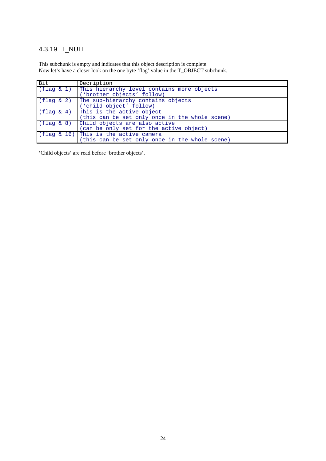# 4.3.19 T\_NULL

This subchunk is empty and indicates that this object description is complete. Now let's have a closer look on the one byte 'flag' value in the T\_OBJECT subchunk.

| Bit                 | Decription                                     |
|---------------------|------------------------------------------------|
| (flag & 1)          | This hierarchy level contains more objects     |
|                     | ('brother objects' follow)                     |
| $(fla \alpha \& 2)$ | The sub-hierarchy contains objects             |
|                     | ('child object' follow)                        |
| (flag & 4)          | This is the active object                      |
|                     | (this can be set only once in the whole scene) |
| (flag & 8)          | Child objects are also active                  |
|                     | (can be only set for the active object)        |
|                     | $(flag & 16)$ This is the active camera        |
|                     | (this can be set only once in the whole scene) |

'Child objects' are read before 'brother objects'.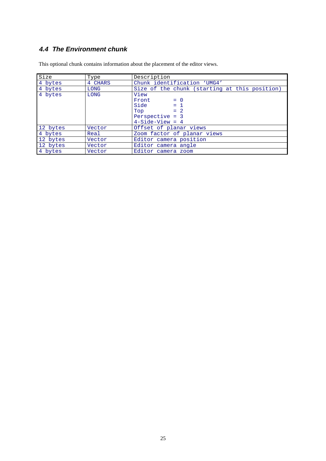# **4.4 The Environment chunk**

| Size     | Type        | Description                                   |
|----------|-------------|-----------------------------------------------|
| 4 bytes  | 4 CHARS     | Chunk identification 'UMG4'                   |
| 4 bytes  | LONG        | Size of the chunk (starting at this position) |
| 4 bytes  | <b>LONG</b> | View                                          |
|          |             | $Front = 0$                                   |
|          |             | Side $= 1$                                    |
|          |             | $= 2$<br>Top                                  |
|          |             | Perspective = $3$                             |
|          |             | $4-Side-View = 4$                             |
| 12 bytes | Vector      | Offset of planar views                        |
| 4 bytes  | Real        | Zoom factor of planar views                   |
| 12 bytes | Vector      | Editor camera position                        |
| 12 bytes | Vector      | Editor camera angle                           |
| 4 bytes  | Vector      | Editor camera zoom                            |

This optional chunk contains information about the placement of the editor views.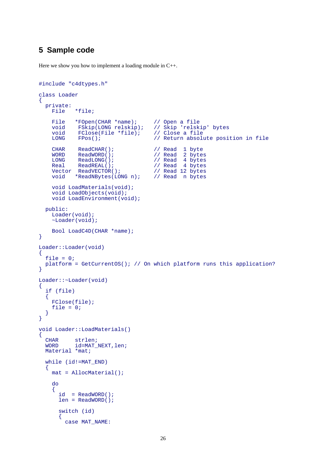### **5 Sample code**

Here we show you how to implement a loading module in C++.

```
#include "c4dtypes.h"
class Loader
{
   private:
      File *file;
     File *FOpen(CHAR *name); // Open a file<br>void FSkip(LONG relskip); // Skip 'relsk
     void FSkip(LONG relskip); // Skip 'relskip' bytes<br>void FClose(File *file); // Close a file
     void FClose(File *file);<br>LONG FPos();
                                                 // Return absolute position in file
     CHAR ReadCHAR(); \angle // Read 1 byte<br>WORD ReadWORD(); \angle // Read 2 byte
     WORD ReadWORD(); \frac{1}{10} Read 2 bytes<br>
LONG ReadLONG(); \frac{1}{10} Read 4 bytes
     LONG ReadLONG(); \begin{array}{ccc} 1 & 1 & 1 \\ 1 & 1 & 1 \\ 1 & 1 & 1 \end{array} Read 4 bytes
                                                 %<br>// Read 4 bytes<br>// Read 12 bytes
     Vector ReadVECTOR();<br>void *ReadNBytes(LONG n); // Read n bytes
               *ReadNBytes(LONG n); void LoadMaterials(void);
      void LoadObjects(void);
      void LoadEnvironment(void);
   public:
      Loader(void);
      ~Loader(void);
      Bool LoadC4D(CHAR *name);
}
Loader::Loader(void)
{
  file = 0;
   platform = GetCurrentOS(); // On which platform runs this application?
}
Loader::~Loader(void)
\mathcal{A} if (file)
   \{ FClose(file);
      file = 0;
    }
}
void Loader::LoadMaterials()
\left\{ \right\}CHAR strlen;<br>
WORD id=MAT
               id=MAT_NEXT,len;
   Material *mat;
    while (id!=MAT_END)
    {
      mat = AllocMaterial();
      do
\left\{\begin{array}{ccc} \end{array}\right\}id = ReadWORD();
         len = ReadWORD();
         switch (id)
          {
            case MAT_NAME:
```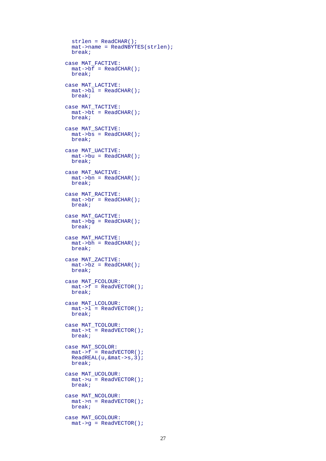```
 strlen = ReadCHAR();
   mat->name = ReadNBYTES(strlen);
   break;
 case MAT_FACTIVE:
   mat->bf = ReadCHAR();
   break;
 case MAT_LACTIVE:
  mat->bl = ReadCHAR();
   break;
 case MAT_TACTIVE:
 mat->bt = ReadCHAR();
   break;
 case MAT_SACTIVE:
  \overline{\text{mat}}->\overline{\text{bs}} = ReadCHAR();
   break;
 case MAT_UACTIVE:
   mat->bu = ReadCHAR();
   break;
 case MAT_NACTIVE:
   mat->bn = ReadCHAR();
   break;
 case MAT_RACTIVE:
  mat->br = ReadCHAR();
   break;
 case MAT_GACTIVE:
   mat->bg = ReadCHAR();
   break;
 case MAT_HACTIVE:
 \overline{\text{mat->bh}} = ReadCHAR();
   break;
 case MAT_ZACTIVE:
   mat->bz = ReadCHAR();
   break;
 case MAT_FCOLOUR:
  mat->f = ReadVECTOR();
   break;
 case MAT_LCOLOUR:
  \text{mat--} = ReadVECTOR();
   break;
 case MAT_TCOLOUR:
 \text{mat--} = ReadVECTOR();
   break;
 case MAT_SCOLOR:
  \text{mat->f} = \text{ReadVECTOR}();
   ReadREAL(u,&mat->s,3);
   break;
 case MAT_UCOLOUR:
  \mu = ReadVECTOR();
   break;
 case MAT_NCOLOUR:
  mat->n = ReadVECTOR();
  break;
 case MAT_GCOLOUR:
  \text{mat-} > g = ReadVECTOR();
```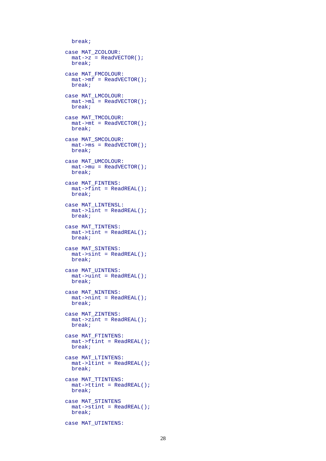```
 break;
 case MAT_ZCOLOUR:
  mat->z = ReadVECTOR();
  break;
 case MAT_FMCOLOUR:
  mat->mf = ReadVECTOR();
  break;
 case MAT_LMCOLOUR:
 \text{mat--small} = \text{ReadVECTOR}();
  break;
 case MAT_TMCOLOUR:
 \overline{\text{mat}} = ReadVECTOR();
  break;
 case MAT_SMCOLOUR:
  mat->ms = ReadVECTOR();
  break;
 case MAT_UMCOLOUR:
  mat->mu = ReadVECTOR();
  break;
 case MAT_FINTENS:
  mat->fint = ReadREAL();
  break;
 case MAT_LINTENSL:
 mat->lint = ReadREAL();
  break;
 case MAT_TINTENS:
 mat->tint = ReadREAL();
  break;
 case MAT_SINTENS:
 mat->sint = ReadREAL();
  break;
 case MAT_UINTENS:
  mat->uint = ReadREAL();
  break;
 case MAT_NINTENS:
  mat->nint = ReadREAL();
  break;
 case MAT_ZINTENS:
 mat->zint = ReadREAL();
  break;
 case MAT_FTINTENS:
  mat->ftint = ReadREAL();
  break;
 case MAT_LTINTENS:
  mat->ltint = ReadREAL();
   break;
 case MAT_TTINTENS:
  mat->ttint = ReadREAL();
   break;
 case MAT_STINTENS
  mat->stint = ReadREAL();
  break;
 case MAT_UTINTENS:
```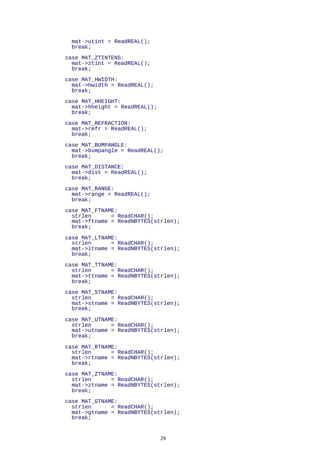```
mat->utint = ReadREAL();
  break;
 case MAT_ZTINTENS:
 \overline{\text{mat}}->ztint = ReadREAL();
  break;
 case MAT_HWIDTH:
 mat->hwidth = ReadREAL();
  break;
 case MAT_HHEIGHT:
  mat->hheight = ReadREAL();
  break;
 case MAT_REFRACTION:
   mat->refr = ReadREAL();
  break;
 case MAT_BUMPANGLE:
  mat->bumpangle = ReadREAL();
  break;
 case MAT_DISTANCE:
 mat->dist = ReadREAL();
  break;
 case MAT_RANGE:
 mat->range = ReadREAL();
   break;
 case MAT_FTNAME:
  strlen = ReadCHAR();
   mat->ftname = ReadNBYTES(strlen);
  break;
 case MAT_LTNAME:
 strlen = ReadCHAR();
   mat->ltname = ReadNBYTES(strlen);
  break;
 case MAT_TTNAME:
 strlen = ReadCHAR();
 mat{\rightarrow}ttname = ReadNBYTES(strlen); break;
 case MAT_STNAME:
 strlen = ReadCHAR();
  mat->stname = ReadNBYTES(strlen);
  break;
 case MAT_UTNAME:
 strlen = ReadCHAR();
   mat->utname = ReadNBYTES(strlen);
  break;
case MAT_RTNAME:<br>strlen =
          = ReadCHAR();
   mat->rtname = ReadNBYTES(strlen);
  break;
 case MAT_ZTNAME:
 strlen = ReadCHAR();
   mat->ztname = ReadNBYTES(strlen);
  break;
 case MAT_GTNAME:
 strlen = ReadCHAR();
   mat->gtname = ReadNBYTES(strlen);
  break;
```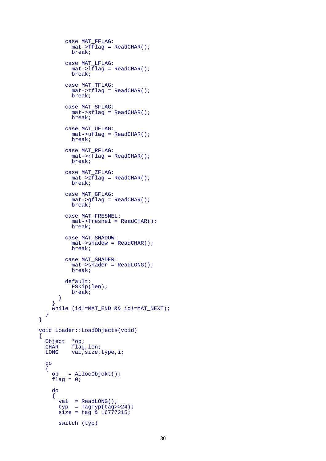```
 case MAT_FFLAG:
          \overline{\text{mat}}->fflag = ReadCHAR();
           break;
         case MAT_LFLAG:
           mat->lflag = ReadCHAR();
           break;
         case MAT_TFLAG:
           mat->tflag = ReadCHAR();
           break;
         case MAT_SFLAG:
          mat->sflaq = ReadCHAR();
           break;
         case MAT_UFLAG:
          mat->uflag = ReadCHAR();
           break;
         case MAT_RFLAG:
           mat->rflag = ReadCHAR();
           break;
         case MAT_ZFLAG:
          mat->zflag = ReadCHAR();
           break;
         case MAT_GFLAG:
          mat->qflag = ReadCHAR();
           break;
         case MAT_FRESNEL:
           mat->fresnel = ReadCHAR();
           break;
         case MAT_SHADOW:
          mat->shadow = ReadCHAR();
           break;
         case MAT_SHADER:
           mat->shader = ReadLONG();
           break;
         default:
           FSkip(len);
           break;
       }
     }
     while (id!=MAT_END && id!=MAT_NEXT);
   }
void Loader::LoadObjects(void)
 Object *op;
 CHAR flag,len;
LONG val, size, type, i;
   do
   {
     op = AllocObjekt();
    flag = 0; do
    \{val = ReadLONG();
      type = TagType(tag>>24);size = tag \& 16777215; switch (typ)
```
}

 $\{$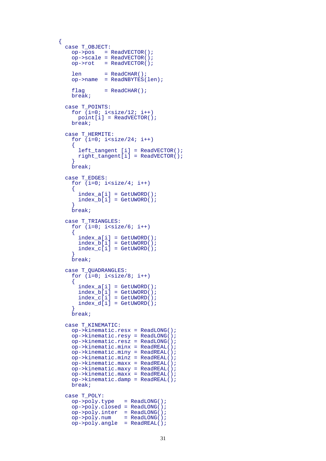```
 case T_OBJECT:
          op->pos = ReadVECTOR();
          op->scale = ReadVECTOR();
         op->rot = ReadVECTOR();
          len = ReadCHAR();
          op->name = ReadNBYTES(len);
         flag = ReadCHAR();
          break;
        case T_POINTS:
         for (i=0; i<size/12; i++) point[i] = ReadVECTOR();
          break;
        case T_HERMITE:
         for (i=0; i< size/24; i++)\{ left_tangent [i] = ReadVECTOR();
 right_tangent[i] = ReadVECTOR();
 }
          break;
        case T_EDGES:
         for (i=0; i<size/4; i++)\left\{ \begin{array}{c} 1 & 1 \\ 1 & 1 \end{array} \right\}index_a[i] = GetUWORD();
           index b[i] = GetUWORD();
 }
          break;
        case T_TRIANGLES:
         for (i=0; i<size/6; i++)\{index a[i] = GetUWORD();
           index_b[i] = GetUWORD();index_c[i] = GetUWORD();
 }
          break;
 case T_QUADRANGLES:
for (i=0; i<size/8; i++)
\{{<br>index_a[i] = GetUWORD();
 index_b[i] = GetUWORD();
 index_c[i] = GetUWORD();
           index_d[i] = GetUWORD(); }
          break;
        case T_KINEMATIC:
          op->kinematic.resx = ReadLONG();
          op->kinematic.resy = ReadLONG();
          op->kinematic.resz = ReadLONG();
          op->kinematic.minx = ReadREAL();
          op->kinematic.miny = ReadREAL();
          op->kinematic.minz = ReadREAL();
          op->kinematic.maxx = ReadREAL();
         op->kinematic.maxy = ReadREAL();
         op->kinematic.max = ReadREAL();
         op->kinematic.damp = ReadREAL();
          break;
        case T_POLY:
          op->poly.type = ReadLONG();
          op->poly.closed = ReadLONG();
         op->poly.inter = ReadLONG();<br>
op->poly.num = ReadLONG();
                         = ReadLONG();
         op->poly.angle = ReadREAL();
```
{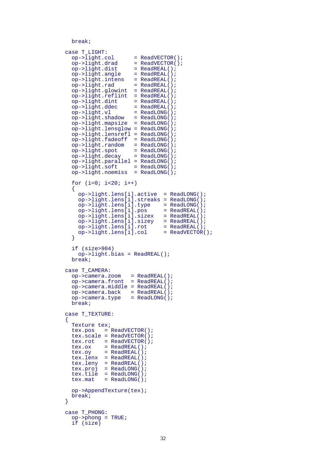```
 break;
```

```
 case T_LIGHT:
           op->light,col = ReadVECTOR();<br>
op->light.data = ReadVECTOR();
           op->light.drad = ReadVECTOR(<br>op->light.dist = ReadREAL();
           op->light.dist
           op->light.angle
            op->light.intens
           op->light.angle = ReadREAL();<br>op->light.intens = ReadREAL();<br>op->light.rad = ReadREAL();
            op->light.glowint = ReadREAL();
            op->light.reflint = ReadREAL();
op->light.dint = ReadREAL();
op->light.ddec = ReadREAL();
           op->light.v1 = ReadLONG();
 op->light.shadow = ReadLONG();
 op->light.mapsize = ReadLONG();
             op->light.lensglow = ReadLONG();
            op->light.lensrefl = ReadLONG();
            op->light.fadeoff = ReadLONG();
            op->light.random = ReadLONG();
           op->light.\,spot = ReadLONG();
           op->light.deg<br>
op->light.deg = ReadLONG();<br>
op->light.deg = diag();
            op->light.parallel = ReadLONG();
            op->light.soft = ReadLONG();
           op->light.noemiss = ReadLONG();
            for (i=0; i<20; i++)
\left\{ \begin{array}{c} 1 & 1 \\ 1 & 1 \end{array} \right\} op->light.lens[i].active = ReadLONG();
              op->light.lens[i].streaks = ReadLONG();<br>op->light.lens[i].type = ReadLONG();
              op->light.lens[i].type = ReadLONG();<br>op->light.lens[i].pos = ReadREAL();
              op->light.lens[i].pos
               op->light.lens[i].sizex = ReadREAL();
               op->light.lens[i].sizey = ReadREAL();
              op->light.lens[i].rot = ReadREAL();<br>op->light.lens[i].col = ReadVECTOR();
            op->light.length.lens[i].col
 }
             if (size>904)
               op->light.bias = ReadREAL();
            break;
          case T_CAMERA:
            op->camera.zoom = ReadREAL();
            op->camera.front = ReadREAL();
            op->camera.middle = ReadREAL();
 op->camera.back = ReadREAL();
 op->camera.type = ReadLONG();
            break;
          case T_TEXTURE:
\left\{ \begin{array}{c} 1 & 1 \\ 1 & 1 \end{array} \right\} Texture tex;
            tex.pos = ReadVECTOR();
            tex.scale = ReadVECTOR();
            tex.rot = ReadVECTOR();
           tex.ox = ReadREAL();<br>tex.ov = ReadREAL();
                     = \frac{1}{100} \frac{1}{100} \frac{1}{100} \frac{1}{100} \frac{1}{100} tex.lenx = ReadREAL();
 tex.leny = ReadREAL();
 tex.proj = ReadLONG();
 tex.tile = ReadLONG();
           textrm{ } = ReadLONG();
             op->AppendTexture(tex);
         break;
 }
          case T_PHONG:
            op->phong = TRUE;
             if (size)
```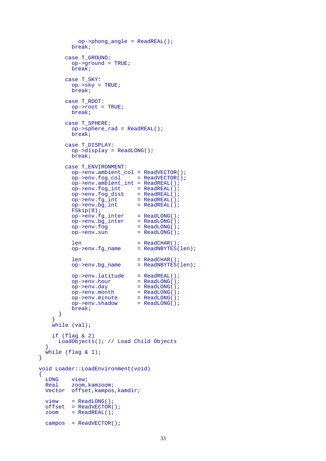```
 op->phong_angle = ReadREAL();
          break;
        case T_GROUND:
         op->qround = TRUE; break;
        case T_SKY:
         op->sky = TRUE; break;
        case T_ROOT:
          op->root = TRUE;
          break;
        case T_SPHERE:
           op->sphere_rad = ReadREAL();
          break;
        case T_DISPLAY:
          op->display = ReadLONG();
          break;
        case T_ENVIRONMENT:
          op->env.ambient_col = ReadVECTOR();
           op->env.fog_col = ReadVECTOR();
          op->env.ambient_int = ReadREAL();
          op->env.fog_int = ReadREAL();
op->env.fog_dist = ReadREAL();
op->env.fg\_int = ReadREAL();
op->env.bg\_int = ReadREAL();
          FSkip(8);
op->env.fg_inter = ReadLONG();
op->env.bg_inter = ReadLONG();
op->env.fog = ReadLONG();
         op->env.sum = ReadLong();
         len = ReadCHAR();<br>op->env.fg_name = ReadNBYTES(
                              = ReadNBYTES(len);
          len = ReadCHAR();
         op->env.bg_name = ReadNBYTES(len);
          op->env.latitude = ReadREAL();<br>op->env.hour = ReadLONG();
         op->env.hour
         op->env.day = ReadLONG();<br>
op->env.month = ReadLONG();
         op->env.month = ReadLONG();<br>
op->env.minute = ReadLONG();
op->env.minute = ReadLONG();
 op->env.shadow = ReadLONG();
          break;
      }
 }
    while (val);
     if (flag & 2)
      LoadObjects(); // Load Child Objects
 }
 while (f \text{lag } \& 1);void Loader::LoadEnvironment(void)
 LONG view;
  Real zoom,kamzoom;
  Vector offset,kampos,kamdir;
 view = ReadLong();
 offset = ReadVECTOR();<br>zoom = ReadREAL();
        = ReadREAL();
  campos = ReadVECTOR();
```
}

{